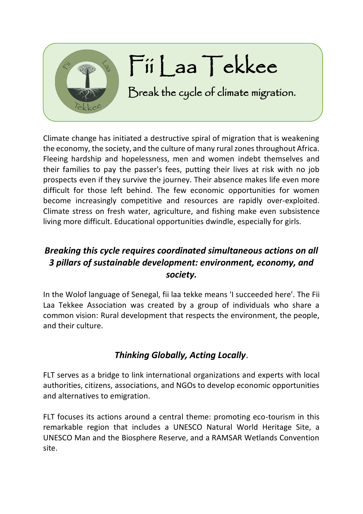

Climate change has initiated a destructive spiral of migration that is weakening the economy, the society, and the culture of many rural zones throughout Africa. Fleeing hardship and hopelessness, men and women indebt themselves and their families to pay the passer's fees, putting their lives at risk with no job prospects even if they survive the journey. Their absence makes life even more difficult for those left behind. The few economic opportunities for women become increasingly competitive and resources are rapidly over-exploited. Climate stress on fresh water, agriculture, and fishing make even subsistence living more difficult. Educational opportunities dwindle, especially for girls.

## *Breaking this cycle requires coordinated simultaneous actions on all 3 pillars of sustainable development: environment, economy, and society.*

In the Wolof language of Senegal, fii laa tekke means 'I succeeded here'. The Fii Laa Tekkee Association was created by a group of individuals who share a common vision: Rural development that respects the environment, the people, and their culture.

## *Thinking Globally, Acting Locally*.

FLT serves as a bridge to link international organizations and experts with local authorities, citizens, associations, and NGOs to develop economic opportunities and alternatives to emigration.

FLT focuses its actions around a central theme: promoting eco-tourism in this remarkable region that includes a UNESCO Natural World Heritage Site, a UNESCO Man and the Biosphere Reserve, and a RAMSAR Wetlands Convention site.